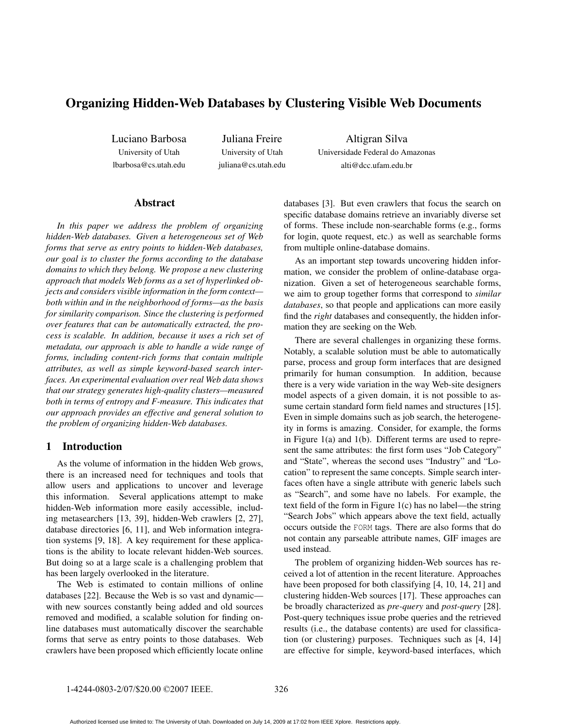# Organizing Hidden-Web Databases by Clustering Visible Web Documents

Luciano Barbosa University of Utah lbarbosa@cs.utah.edu

Juliana Freire University of Utah juliana@cs.utah.edu

Altigran Silva Universidade Federal do Amazonas alti@dcc.ufam.edu.br

# Abstract

*In this paper we address the problem of organizing hidden-Web databases. Given a heterogeneous set of Web forms that serve as entry points to hidden-Web databases, our goal is to cluster the forms according to the database domains to which they belong. We propose a new clustering approach that models Web forms as a set of hyperlinked objects and considers visible information in the form context both within and in the neighborhood of forms—as the basis for similarity comparison. Since the clustering is performed over features that can be automatically extracted, the process is scalable. In addition, because it uses a rich set of metadata, our approach is able to handle a wide range of forms, including content-rich forms that contain multiple attributes, as well as simple keyword-based search interfaces. An experimental evaluation over real Web data shows that our strategy generates high-quality clusters—measured both in terms of entropy and F-measure. This indicates that our approach provides an effective and general solution to the problem of organizing hidden-Web databases.*

# 1 Introduction

As the volume of information in the hidden Web grows, there is an increased need for techniques and tools that allow users and applications to uncover and leverage this information. Several applications attempt to make hidden-Web information more easily accessible, including metasearchers [13, 39], hidden-Web crawlers [2, 27], database directories [6, 11], and Web information integration systems [9, 18]. A key requirement for these applications is the ability to locate relevant hidden-Web sources. But doing so at a large scale is a challenging problem that has been largely overlooked in the literature.

The Web is estimated to contain millions of online databases [22]. Because the Web is so vast and dynamic with new sources constantly being added and old sources removed and modified, a scalable solution for finding online databases must automatically discover the searchable forms that serve as entry points to those databases. Web crawlers have been proposed which efficiently locate online databases [3]. But even crawlers that focus the search on specific database domains retrieve an invariably diverse set of forms. These include non-searchable forms (e.g., forms for login, quote request, etc.) as well as searchable forms from multiple online-database domains.

As an important step towards uncovering hidden information, we consider the problem of online-database organization. Given a set of heterogeneous searchable forms, we aim to group together forms that correspond to *similar databases*, so that people and applications can more easily find the *right* databases and consequently, the hidden information they are seeking on the Web.

There are several challenges in organizing these forms. Notably, a scalable solution must be able to automatically parse, process and group form interfaces that are designed primarily for human consumption. In addition, because there is a very wide variation in the way Web-site designers model aspects of a given domain, it is not possible to assume certain standard form field names and structures [15]. Even in simple domains such as job search, the heterogeneity in forms is amazing. Consider, for example, the forms in Figure 1(a) and 1(b). Different terms are used to represent the same attributes: the first form uses "Job Category" and "State", whereas the second uses "Industry" and "Location" to represent the same concepts. Simple search interfaces often have a single attribute with generic labels such as "Search", and some have no labels. For example, the text field of the form in Figure 1(c) has no label—the string "Search Jobs" which appears above the text field, actually occurs outside the FORM tags. There are also forms that do not contain any parseable attribute names, GIF images are used instead.

The problem of organizing hidden-Web sources has received a lot of attention in the recent literature. Approaches have been proposed for both classifying [4, 10, 14, 21] and clustering hidden-Web sources [17]. These approaches can be broadly characterized as *pre-query* and *post-query* [28]. Post-query techniques issue probe queries and the retrieved results (i.e., the database contents) are used for classification (or clustering) purposes. Techniques such as [4, 14] are effective for simple, keyword-based interfaces, which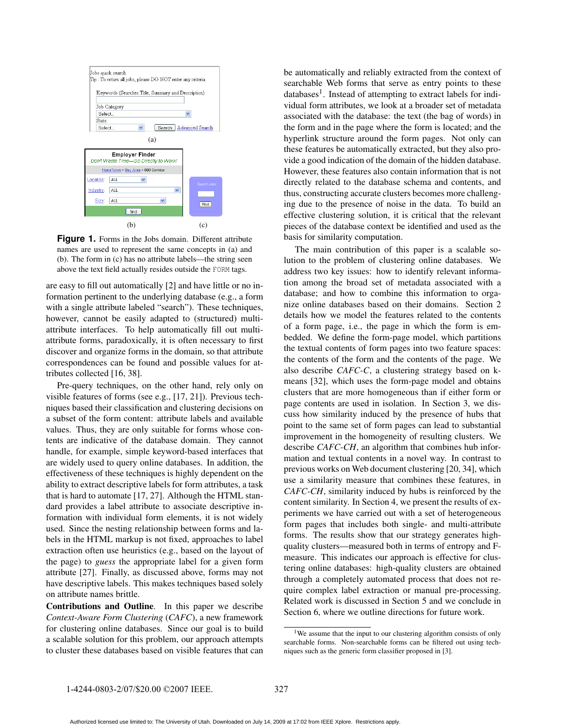

**Figure 1.** Forms in the Jobs domain. Different attribute names are used to represent the same concepts in (a) and (b). The form in (c) has no attribute labels—the string seen above the text field actually resides outside the FORM tags.

are easy to fill out automatically [2] and have little or no information pertinent to the underlying database (e.g., a form with a single attribute labeled "search"). These techniques, however, cannot be easily adapted to (structured) multiattribute interfaces. To help automatically fill out multiattribute forms, paradoxically, it is often necessary to first discover and organize forms in the domain, so that attribute correspondences can be found and possible values for attributes collected [16, 38].

Pre-query techniques, on the other hand, rely only on visible features of forms (see e.g., [17, 21]). Previous techniques based their classification and clustering decisions on a subset of the form content: attribute labels and available values. Thus, they are only suitable for forms whose contents are indicative of the database domain. They cannot handle, for example, simple keyword-based interfaces that are widely used to query online databases. In addition, the effectiveness of these techniques is highly dependent on the ability to extract descriptive labels for form attributes, a task that is hard to automate [17, 27]. Although the HTML standard provides a label attribute to associate descriptive information with individual form elements, it is not widely used. Since the nesting relationship between forms and labels in the HTML markup is not fixed, approaches to label extraction often use heuristics (e.g., based on the layout of the page) to *guess* the appropriate label for a given form attribute [27]. Finally, as discussed above, forms may not have descriptive labels. This makes techniques based solely on attribute names brittle.

Contributions and Outline. In this paper we describe *Context-Aware Form Clustering* (*CAFC*), a new framework for clustering online databases. Since our goal is to build a scalable solution for this problem, our approach attempts to cluster these databases based on visible features that can be automatically and reliably extracted from the context of searchable Web forms that serve as entry points to these  $databases<sup>1</sup>$ . Instead of attempting to extract labels for individual form attributes, we look at a broader set of metadata associated with the database: the text (the bag of words) in the form and in the page where the form is located; and the hyperlink structure around the form pages. Not only can these features be automatically extracted, but they also provide a good indication of the domain of the hidden database. However, these features also contain information that is not directly related to the database schema and contents, and thus, constructing accurate clusters becomes more challenging due to the presence of noise in the data. To build an effective clustering solution, it is critical that the relevant pieces of the database context be identified and used as the basis for similarity computation.

The main contribution of this paper is a scalable solution to the problem of clustering online databases. We address two key issues: how to identify relevant information among the broad set of metadata associated with a database; and how to combine this information to organize online databases based on their domains. Section 2 details how we model the features related to the contents of a form page, i.e., the page in which the form is embedded. We define the form-page model, which partitions the textual contents of form pages into two feature spaces: the contents of the form and the contents of the page. We also describe *CAFC-C*, a clustering strategy based on kmeans [32], which uses the form-page model and obtains clusters that are more homogeneous than if either form or page contents are used in isolation. In Section 3, we discuss how similarity induced by the presence of hubs that point to the same set of form pages can lead to substantial improvement in the homogeneity of resulting clusters. We describe *CAFC-CH*, an algorithm that combines hub information and textual contents in a novel way. In contrast to previous works on Web document clustering [20, 34], which use a similarity measure that combines these features, in *CAFC-CH*, similarity induced by hubs is reinforced by the content similarity. In Section 4, we present the results of experiments we have carried out with a set of heterogeneous form pages that includes both single- and multi-attribute forms. The results show that our strategy generates highquality clusters—measured both in terms of entropy and Fmeasure. This indicates our approach is effective for clustering online databases: high-quality clusters are obtained through a completely automated process that does not require complex label extraction or manual pre-processing. Related work is discussed in Section 5 and we conclude in Section 6, where we outline directions for future work.

<sup>&</sup>lt;sup>1</sup>We assume that the input to our clustering algorithm consists of only searchable forms. Non-searchable forms can be filtered out using techniques such as the generic form classifier proposed in [3].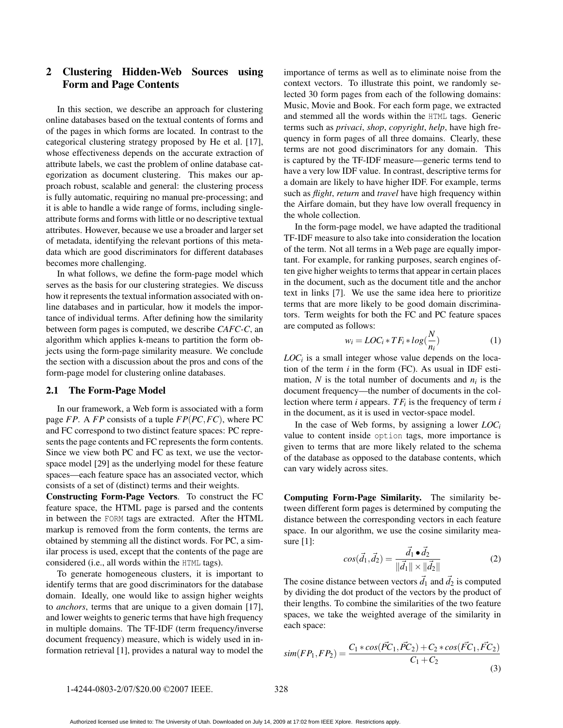# 2 Clustering Hidden-Web Sources using Form and Page Contents

In this section, we describe an approach for clustering online databases based on the textual contents of forms and of the pages in which forms are located. In contrast to the categorical clustering strategy proposed by He et al. [17], whose effectiveness depends on the accurate extraction of attribute labels, we cast the problem of online database categorization as document clustering. This makes our approach robust, scalable and general: the clustering process is fully automatic, requiring no manual pre-processing; and it is able to handle a wide range of forms, including singleattribute forms and forms with little or no descriptive textual attributes. However, because we use a broader and larger set of metadata, identifying the relevant portions of this metadata which are good discriminators for different databases becomes more challenging.

In what follows, we define the form-page model which serves as the basis for our clustering strategies. We discuss how it represents the textual information associated with online databases and in particular, how it models the importance of individual terms. After defining how the similarity between form pages is computed, we describe *CAFC-C*, an algorithm which applies k-means to partition the form objects using the form-page similarity measure. We conclude the section with a discussion about the pros and cons of the form-page model for clustering online databases.

### 2.1 The Form-Page Model

In our framework, a Web form is associated with a form page *FP*. A *FP* consists of a tuple *FP*(*PC*,*FC*), where PC and FC correspond to two distinct feature spaces: PC represents the page contents and FC represents the form contents. Since we view both PC and FC as text, we use the vectorspace model [29] as the underlying model for these feature spaces—each feature space has an associated vector, which consists of a set of (distinct) terms and their weights.

Constructing Form-Page Vectors. To construct the FC feature space, the HTML page is parsed and the contents in between the FORM tags are extracted. After the HTML markup is removed from the form contents, the terms are obtained by stemming all the distinct words. For PC, a similar process is used, except that the contents of the page are considered (i.e., all words within the HTML tags).

To generate homogeneous clusters, it is important to identify terms that are good discriminators for the database domain. Ideally, one would like to assign higher weights to *anchors*, terms that are unique to a given domain [17], and lower weights to generic terms that have high frequency in multiple domains. The TF-IDF (term frequency/inverse document frequency) measure, which is widely used in information retrieval [1], provides a natural way to model the importance of terms as well as to eliminate noise from the context vectors. To illustrate this point, we randomly selected 30 form pages from each of the following domains: Music, Movie and Book. For each form page, we extracted and stemmed all the words within the HTML tags. Generic terms such as *privaci*, *shop*, *copyright*, *help*, have high frequency in form pages of all three domains. Clearly, these terms are not good discriminators for any domain. This is captured by the TF-IDF measure—generic terms tend to have a very low IDF value. In contrast, descriptive terms for a domain are likely to have higher IDF. For example, terms such as *flight*, *return* and *travel* have high frequency within the Airfare domain, but they have low overall frequency in the whole collection.

In the form-page model, we have adapted the traditional TF-IDF measure to also take into consideration the location of the term. Not all terms in a Web page are equally important. For example, for ranking purposes, search engines often give higher weights to terms that appear in certain places in the document, such as the document title and the anchor text in links [7]. We use the same idea here to prioritize terms that are more likely to be good domain discriminators. Term weights for both the FC and PC feature spaces are computed as follows:

$$
w_i = LOC_i * TF_i * log(\frac{N}{n_i})
$$
\n(1)

 $LOC_i$  is a small integer whose value depends on the location of the term *i* in the form (FC). As usual in IDF estimation,  $N$  is the total number of documents and  $n_i$  is the document frequency—the number of documents in the collection where term *i* appears. *T Fi* is the frequency of term *i* in the document, as it is used in vector-space model.

In the case of Web forms, by assigning a lower  $LOC_i$ value to content inside option tags, more importance is given to terms that are more likely related to the schema of the database as opposed to the database contents, which can vary widely across sites.

Computing Form-Page Similarity. The similarity between different form pages is determined by computing the distance between the corresponding vectors in each feature space. In our algorithm, we use the cosine similarity measure [1]:

$$
cos(\vec{d}_1, \vec{d}_2) = \frac{\vec{d}_1 \bullet \vec{d}_2}{\|\vec{d}_1\| \times \|\vec{d}_2\|}
$$
(2)

The cosine distance between vectors  $\vec{d}_1$  and  $\vec{d}_2$  is computed by dividing the dot product of the vectors by the product of their lengths. To combine the similarities of the two feature spaces, we take the weighted average of the similarity in each space:

$$
sim(FP_1, FP_2) = \frac{C_1 * cos(\vec{PC}_1, \vec{PC}_2) + C_2 * cos(\vec{FC}_1, \vec{FC}_2)}{C_1 + C_2}
$$
\n(3)

Authorized licensed use limited to: The University of Utah. Downloaded on July 14, 2009 at 17:02 from IEEE Xplore. Restrictions apply.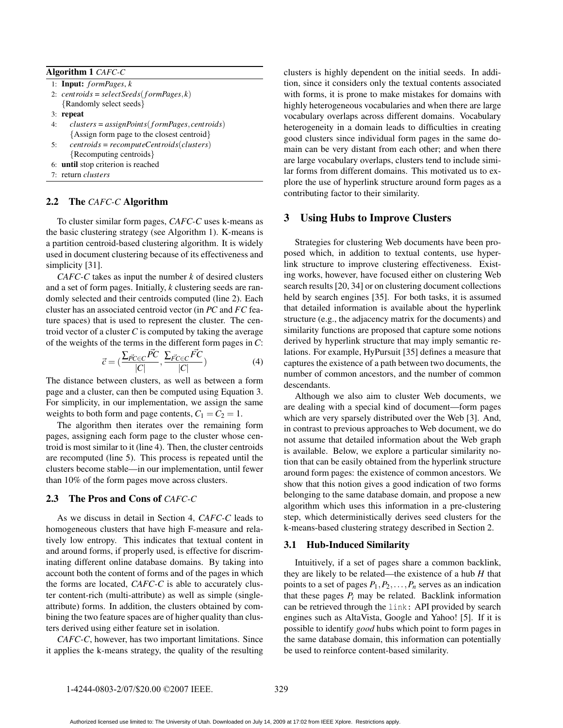# Algorithm 1 *CAFC-C*

- 1: Input: *f ormPages*, *k*
- 2: *centroids* = *selectSeeds*(*f ormPages*,*k*)
- {Randomly select seeds}
- 3: repeat
- 4: *clusters* = *assignPoints*(*f ormPages*,*centroids*) {Assign form page to the closest centroid}
- 5: *centroids* = *recomputeCentroids*(*clusters*)
- {Recomputing centroids}
- 6: until stop criterion is reached
- 7: return *clusters*

# 2.2 The *CAFC-C* Algorithm

To cluster similar form pages, *CAFC-C* uses k-means as the basic clustering strategy (see Algorithm 1). K-means is a partition centroid-based clustering algorithm. It is widely used in document clustering because of its effectiveness and simplicity [31].

*CAFC-C* takes as input the number *k* of desired clusters and a set of form pages. Initially, *k* clustering seeds are randomly selected and their centroids computed (line 2). Each cluster has an associated centroid vector (in *PC* and *FC* feature spaces) that is used to represent the cluster. The centroid vector of a cluster*C* is computed by taking the average of the weights of the terms in the different form pages in *C*:

$$
\vec{c} = \left(\frac{\sum_{\vec{P}C \in C} \vec{PC}}{|C|}, \frac{\sum_{\vec{F}C \in C} \vec{FC}}{|C|}\right) \tag{4}
$$

The distance between clusters, as well as between a form page and a cluster, can then be computed using Equation 3. For simplicity, in our implementation, we assign the same weights to both form and page contents,  $C_1 = C_2 = 1$ .

The algorithm then iterates over the remaining form pages, assigning each form page to the cluster whose centroid is most similar to it (line 4). Then, the cluster centroids are recomputed (line 5). This process is repeated until the clusters become stable—in our implementation, until fewer than 10% of the form pages move across clusters.

### 2.3 The Pros and Cons of *CAFC-C*

As we discuss in detail in Section 4, *CAFC-C* leads to homogeneous clusters that have high F-measure and relatively low entropy. This indicates that textual content in and around forms, if properly used, is effective for discriminating different online database domains. By taking into account both the content of forms and of the pages in which the forms are located, *CAFC-C* is able to accurately cluster content-rich (multi-attribute) as well as simple (singleattribute) forms. In addition, the clusters obtained by combining the two feature spaces are of higher quality than clusters derived using either feature set in isolation.

*CAFC-C*, however, has two important limitations. Since it applies the k-means strategy, the quality of the resulting clusters is highly dependent on the initial seeds. In addition, since it considers only the textual contents associated with forms, it is prone to make mistakes for domains with highly heterogeneous vocabularies and when there are large vocabulary overlaps across different domains. Vocabulary heterogeneity in a domain leads to difficulties in creating good clusters since individual form pages in the same domain can be very distant from each other; and when there are large vocabulary overlaps, clusters tend to include similar forms from different domains. This motivated us to explore the use of hyperlink structure around form pages as a contributing factor to their similarity.

### 3 Using Hubs to Improve Clusters

Strategies for clustering Web documents have been proposed which, in addition to textual contents, use hyperlink structure to improve clustering effectiveness. Existing works, however, have focused either on clustering Web search results [20, 34] or on clustering document collections held by search engines [35]. For both tasks, it is assumed that detailed information is available about the hyperlink structure (e.g., the adjacency matrix for the documents) and similarity functions are proposed that capture some notions derived by hyperlink structure that may imply semantic relations. For example, HyPursuit [35] defines a measure that captures the existence of a path between two documents, the number of common ancestors, and the number of common descendants.

Although we also aim to cluster Web documents, we are dealing with a special kind of document—form pages which are very sparsely distributed over the Web [3]. And, in contrast to previous approaches to Web document, we do not assume that detailed information about the Web graph is available. Below, we explore a particular similarity notion that can be easily obtained from the hyperlink structure around form pages: the existence of common ancestors. We show that this notion gives a good indication of two forms belonging to the same database domain, and propose a new algorithm which uses this information in a pre-clustering step, which deterministically derives seed clusters for the k-means-based clustering strategy described in Section 2.

## 3.1 Hub-Induced Similarity

Intuitively, if a set of pages share a common backlink, they are likely to be related—the existence of a hub *H* that points to a set of pages  $P_1, P_2, \ldots, P_n$  serves as an indication that these pages  $P_i$  may be related. Backlink information can be retrieved through the link: API provided by search engines such as AltaVista, Google and Yahoo! [5]. If it is possible to identify *good* hubs which point to form pages in the same database domain, this information can potentially be used to reinforce content-based similarity.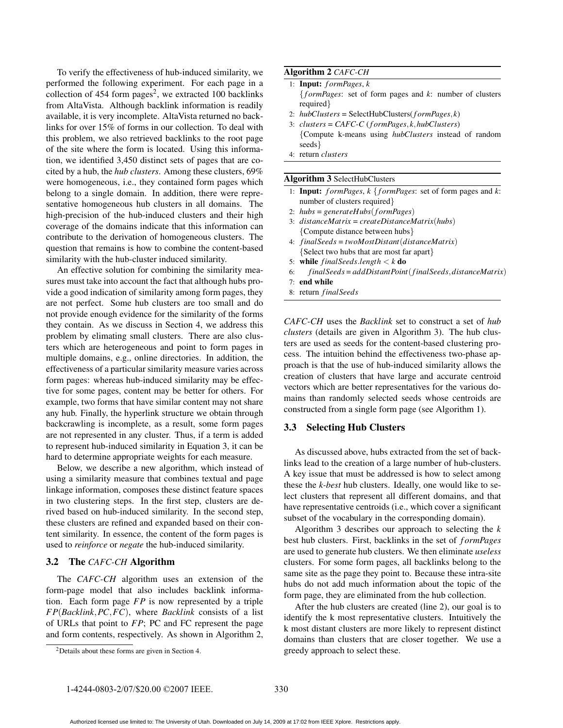To verify the effectiveness of hub-induced similarity, we performed the following experiment. For each page in a collection of  $454$  form pages<sup>2</sup>, we extracted 100 backlinks from AltaVista. Although backlink information is readily available, it is very incomplete. AltaVista returned no backlinks for over 15% of forms in our collection. To deal with this problem, we also retrieved backlinks to the root page of the site where the form is located. Using this information, we identified 3,450 distinct sets of pages that are cocited by a hub, the *hub clusters*. Among these clusters, 69% were homogeneous, i.e., they contained form pages which belong to a single domain. In addition, there were representative homogeneous hub clusters in all domains. The high-precision of the hub-induced clusters and their high coverage of the domains indicate that this information can contribute to the derivation of homogeneous clusters. The question that remains is how to combine the content-based similarity with the hub-cluster induced similarity.

An effective solution for combining the similarity measures must take into account the fact that although hubs provide a good indication of similarity among form pages, they are not perfect. Some hub clusters are too small and do not provide enough evidence for the similarity of the forms they contain. As we discuss in Section 4, we address this problem by elimating small clusters. There are also clusters which are heterogeneous and point to form pages in multiple domains, e.g., online directories. In addition, the effectiveness of a particular similarity measure varies across form pages: whereas hub-induced similarity may be effective for some pages, content may be better for others. For example, two forms that have similar content may not share any hub. Finally, the hyperlink structure we obtain through backcrawling is incomplete, as a result, some form pages are not represented in any cluster. Thus, if a term is added to represent hub-induced similarity in Equation 3, it can be hard to determine appropriate weights for each measure.

Below, we describe a new algorithm, which instead of using a similarity measure that combines textual and page linkage information, composes these distinct feature spaces in two clustering steps. In the first step, clusters are derived based on hub-induced similarity. In the second step, these clusters are refined and expanded based on their content similarity. In essence, the content of the form pages is used to *reinforce* or *negate* the hub-induced similarity.

### 3.2 The *CAFC-CH* Algorithm

The *CAFC-CH* algorithm uses an extension of the form-page model that also includes backlink information. Each form page *FP* is now represented by a triple *FP*(*Backlink*,*PC*,*FC*), where *Backlink* consists of a list of URLs that point to *FP*; PC and FC represent the page and form contents, respectively. As shown in Algorithm 2,

### Algorithm 2 *CAFC-CH*

- 1: Input: *f ormPages*, *k* { *f ormPages*: set of form pages and *k*: number of clusters required}
- 2: *hubClusters* = SelectHubClusters(*f ormPages*,*k*)
- 3: *clusters* = *CAFC-C* (*f ormPages*,*k*,*hubClusters*) {Compute k-means using *hubClusters* instead of random seeds}
- 4: return *clusters*

#### Algorithm 3 SelectHubClusters

- 1: Input: *f ormPages*, *k* { *f ormPages*: set of form pages and *k*: number of clusters required}
- 2: *hubs* = *generateHubs*(*f ormPages*)
- 3: *distanceMatrix* = *createDistanceMatrix*(*hubs*) {Compute distance between hubs}
- 4: *finalSeeds* = *twoMostDistant*(*distanceMatrix*) {Select two hubs that are most far apart}
- 5: while *finalSeeds*.*length* < *k* do
- 6: *finalSeeds* = *addDistantPoint*(*finalSeeds*,*distanceMatrix*)
- 7: end while
- 8: return *finalSeeds*

*CAFC-CH* uses the *Backlink* set to construct a set of *hub clusters* (details are given in Algorithm 3). The hub clusters are used as seeds for the content-based clustering process. The intuition behind the effectiveness two-phase approach is that the use of hub-induced similarity allows the creation of clusters that have large and accurate centroid vectors which are better representatives for the various domains than randomly selected seeds whose centroids are constructed from a single form page (see Algorithm 1).

# 3.3 Selecting Hub Clusters

As discussed above, hubs extracted from the set of backlinks lead to the creation of a large number of hub-clusters. A key issue that must be addressed is how to select among these the *k-best* hub clusters. Ideally, one would like to select clusters that represent all different domains, and that have representative centroids (i.e., which cover a significant subset of the vocabulary in the corresponding domain).

Algorithm 3 describes our approach to selecting the *k* best hub clusters. First, backlinks in the set of *f ormPages* are used to generate hub clusters. We then eliminate *useless* clusters. For some form pages, all backlinks belong to the same site as the page they point to. Because these intra-site hubs do not add much information about the topic of the form page, they are eliminated from the hub collection.

After the hub clusters are created (line 2), our goal is to identify the k most representative clusters. Intuitively the k most distant clusters are more likely to represent distinct domains than clusters that are closer together. We use a greedy approach to select these.

<sup>2</sup>Details about these forms are given in Section 4.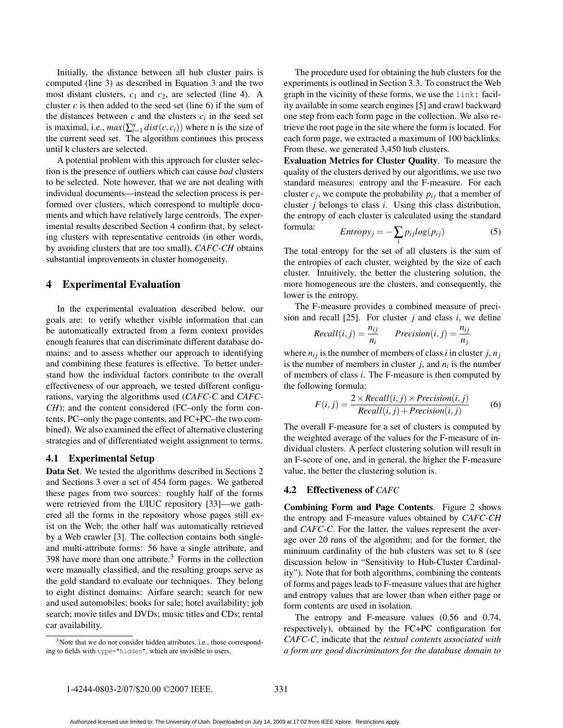Initially, the distance between all hub cluster pairs is computed (line 3) as described in Equation 3 and the two most distant clusters, *c*<sup>1</sup> and *c*2, are selected (line 4). A cluster  $c$  is then added to the seed set (line 6) if the sum of the distances between  $c$  and the clusters  $c_i$  in the seed set is maximal, i.e.,  $max(\sum_{i=1}^{n} dist(c, c_i))$  where n is the size of the current seed set. The algorithm continues this process until k clusters are selected.

A potential problem with this approach for cluster selection is the presence of outliers which can cause *bad* clusters to be selected. Note however, that we are not dealing with individual documents—instead the selection process is performed over clusters, which correspond to multiple documents and which have relatively large centroids. The experimental results described Section 4 confirm that, by selecting clusters with representative centroids (in other words, by avoiding clusters that are too small), *CAFC-CH* obtains substantial improvements in cluster homogeneity.

### 4 Experimental Evaluation

In the experimental evaluation described below, our goals are: to verify whether visible information that can be automatically extracted from a form context provides enough features that can discriminate different database domains; and to assess whether our approach to identifying and combining these features is effective. To better understand how the individual factors contribute to the overall effectiveness of our approach, we tested different configurations, varying the algorithms used (*CAFC-C* and *CAFC-CH*); and the content considered (FC–only the form contents, PC–only the page contents, and FC+PC–the two combined). We also examined the effect of alternative clustering strategies and of differentiated weight assignment to terms.

# 4.1 Experimental Setup

Data Set. We tested the algorithms described in Sections 2 and Sections 3 over a set of 454 form pages. We gathered these pages from two sources: roughly half of the forms were retrieved from the UIUC repository [33]—we gathered all the forms in the repository whose pages still exist on the Web; the other half was automatically retrieved by a Web crawler [3]. The collection contains both singleand multi-attribute forms: 56 have a single attribute, and 398 have more than one attribute. $3$  Forms in the collection were manually classified, and the resulting groups serve as the gold standard to evaluate our techniques. They belong to eight distinct domains: Airfare search; search for new and used automobiles; books for sale; hotel availability; job search; movie titles and DVDs; music titles and CDs; rental car availability.

The procedure used for obtaining the hub clusters for the experiments is outlined in Section 3.3. To construct the Web graph in the vicinity of these forms, we use the link: facility available in some search engines [5] and crawl backward one step from each form page in the collection. We also retrieve the root page in the site where the form is located. For each form page, we extracted a maximum of 100 backlinks. From these, we generated 3,450 hub clusters.

Evaluation Metrics for Cluster Quality. To measure the quality of the clusters derived by our algorithms, we use two standard measures: entropy and the F-measure. For each cluster  $c_j$ , we compute the probability  $p_{ij}$  that a member of cluster *j* belongs to class *i*. Using this class distribution, the entropy of each cluster is calculated using the standard formula:

$$
Entropy_j = -\sum_i p_{ij} log(p_{ij})
$$
 (5)

The total entropy for the set of all clusters is the sum of the entropies of each cluster, weighted by the size of each cluster. Intuitively, the better the clustering solution, the more homogeneous are the clusters, and consequently, the lower is the entropy.

The F-measure provides a combined measure of precision and recall [25]. For cluster *j* and class *i*, we define

Recall(i, j) = 
$$
\frac{n_{ij}}{n_i}
$$
 Precision(i, j) =  $\frac{n_{ij}}{n_j}$ 

where  $n_{ij}$  is the number of members of class *i* in cluster *j*,  $n_j$ is the number of members in cluster  $j$ , and  $n_i$  is the number of members of class *i*. The F-measure is then computed by the following formula:

$$
F(i, j) = \frac{2 \times Recall(i, j) \times Precision(i, j)}{Recall(i, j) + Precision(i, j)}
$$
(6)

The overall F-measure for a set of clusters is computed by the weighted average of the values for the F-measure of individual clusters. A perfect clustering solution will result in an F-score of one, and in general, the higher the F-measure value, the better the clustering solution is.

# 4.2 Effectiveness of *CAFC*

Combining Form and Page Contents. Figure 2 shows the entropy and F-measure values obtained by *CAFC-CH* and *CAFC-C*. For the latter, the values represent the average over 20 runs of the algorithm; and for the former, the minimum cardinality of the hub clusters was set to 8 (see discussion below in "Sensitivity to Hub-Cluster Cardinality"). Note that for both algorithms, combining the contents of forms and pages leads to F-measure values that are higher and entropy values that are lower than when either page or form contents are used in isolation.

The entropy and F-measure values (0.56 and 0.74, respectively), obtained by the FC+PC configuration for *CAFC-C*, indicate that the *textual contents associated with a form are good discriminators for the database domain to*

<sup>&</sup>lt;sup>3</sup>Note that we do not consider hidden attributes, i.e., those corresponding to fields with type="hidden", which are invisible to users.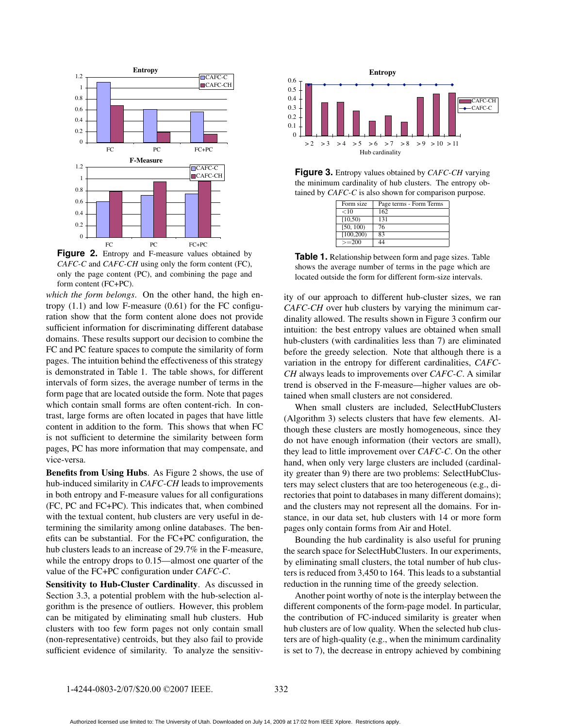

**Figure 2.** Entropy and F-measure values obtained by *CAFC-C* and *CAFC-CH* using only the form content (FC), only the page content (PC), and combining the page and form content (FC+PC).

*which the form belongs*. On the other hand, the high entropy  $(1.1)$  and low F-measure  $(0.61)$  for the FC configuration show that the form content alone does not provide sufficient information for discriminating different database domains. These results support our decision to combine the FC and PC feature spaces to compute the similarity of form pages. The intuition behind the effectiveness of this strategy is demonstrated in Table 1. The table shows, for different intervals of form sizes, the average number of terms in the form page that are located outside the form. Note that pages which contain small forms are often content-rich. In contrast, large forms are often located in pages that have little content in addition to the form. This shows that when FC is not sufficient to determine the similarity between form pages, PC has more information that may compensate, and vice-versa.

Benefits from Using Hubs. As Figure 2 shows, the use of hub-induced similarity in *CAFC-CH* leads to improvements in both entropy and F-measure values for all configurations (FC, PC and FC+PC). This indicates that, when combined with the textual content, hub clusters are very useful in determining the similarity among online databases. The benefits can be substantial. For the FC+PC configuration, the hub clusters leads to an increase of 29.7% in the F-measure, while the entropy drops to 0.15—almost one quarter of the value of the FC+PC configuration under *CAFC-C*.

Sensitivity to Hub-Cluster Cardinality. As discussed in Section 3.3, a potential problem with the hub-selection algorithm is the presence of outliers. However, this problem can be mitigated by eliminating small hub clusters. Hub clusters with too few form pages not only contain small (non-representative) centroids, but they also fail to provide sufficient evidence of similarity. To analyze the sensitiv-



**Figure 3.** Entropy values obtained by *CAFC-CH* varying the minimum cardinality of hub clusters. The entropy obtained by *CAFC-C* is also shown for comparison purpose.

| Page terms - Form Terms |
|-------------------------|
| 162                     |
| 131                     |
| 76                      |
| 83                      |
| 44                      |
|                         |

**Table 1.** Relationship between form and page sizes. Table shows the average number of terms in the page which are located outside the form for different form-size intervals.

ity of our approach to different hub-cluster sizes, we ran *CAFC-CH* over hub clusters by varying the minimum cardinality allowed. The results shown in Figure 3 confirm our intuition: the best entropy values are obtained when small hub-clusters (with cardinalities less than 7) are eliminated before the greedy selection. Note that although there is a variation in the entropy for different cardinalities, *CAFC-CH* always leads to improvements over *CAFC-C*. A similar trend is observed in the F-measure—higher values are obtained when small clusters are not considered.

When small clusters are included, SelectHubClusters (Algorithm 3) selects clusters that have few elements. Although these clusters are mostly homogeneous, since they do not have enough information (their vectors are small), they lead to little improvement over *CAFC-C*. On the other hand, when only very large clusters are included (cardinality greater than 9) there are two problems: SelectHubClusters may select clusters that are too heterogeneous (e.g., directories that point to databases in many different domains); and the clusters may not represent all the domains. For instance, in our data set, hub clusters with 14 or more form pages only contain forms from Air and Hotel.

Bounding the hub cardinality is also useful for pruning the search space for SelectHubClusters. In our experiments, by eliminating small clusters, the total number of hub clusters is reduced from 3,450 to 164. This leads to a substantial reduction in the running time of the greedy selection.

Another point worthy of note is the interplay between the different components of the form-page model. In particular, the contribution of FC-induced similarity is greater when hub clusters are of low quality. When the selected hub clusters are of high-quality (e.g., when the minimum cardinality is set to 7), the decrease in entropy achieved by combining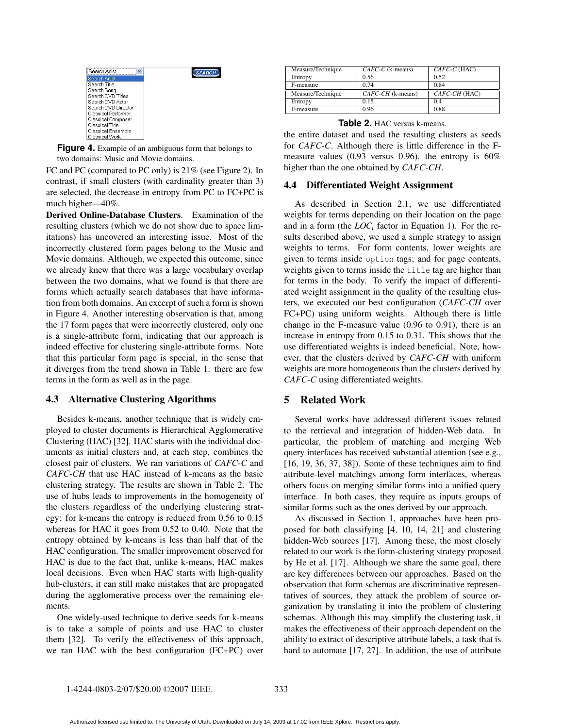

**Figure 4.** Example of an ambiguous form that belongs to two domains: Music and Movie domains.

FC and PC (compared to PC only) is 21% (see Figure 2). In contrast, if small clusters (with cardinality greater than 3) are selected, the decrease in entropy from PC to FC+PC is much higher—40%.

Derived Online-Database Clusters. Examination of the resulting clusters (which we do not show due to space limitations) has uncovered an interesting issue. Most of the incorrectly clustered form pages belong to the Music and Movie domains. Although, we expected this outcome, since we already knew that there was a large vocabulary overlap between the two domains, what we found is that there are forms which actually search databases that have information from both domains. An excerpt of such a form is shown in Figure 4. Another interesting observation is that, among the 17 form pages that were incorrectly clustered, only one is a single-attribute form, indicating that our approach is indeed effective for clustering single-attribute forms. Note that this particular form page is special, in the sense that it diverges from the trend shown in Table 1: there are few terms in the form as well as in the page.

## 4.3 Alternative Clustering Algorithms

Besides k-means, another technique that is widely employed to cluster documents is Hierarchical Agglomerative Clustering (HAC) [32]. HAC starts with the individual documents as initial clusters and, at each step, combines the closest pair of clusters. We ran variations of *CAFC-C* and *CAFC-CH* that use HAC instead of k-means as the basic clustering strategy. The results are shown in Table 2. The use of hubs leads to improvements in the homogeneity of the clusters regardless of the underlying clustering strategy: for k-means the entropy is reduced from 0.56 to 0.15 whereas for HAC it goes from 0.52 to 0.40. Note that the entropy obtained by k-means is less than half that of the HAC configuration. The smaller improvement observed for HAC is due to the fact that, unlike k-means, HAC makes local decisions. Even when HAC starts with high-quality hub-clusters, it can still make mistakes that are propagated during the agglomerative process over the remaining elements.

One widely-used technique to derive seeds for k-means is to take a sample of points and use HAC to cluster them [32]. To verify the effectiveness of this approach, we ran HAC with the best configuration (FC+PC) over

| Measure/Technique | $CAFC-C$ (k-means)  | $CAFC-C$ (HAC)  |
|-------------------|---------------------|-----------------|
| Entropy           | 0.56                | 0.52            |
| F-measure         | 0.74                | 0.84            |
| Measure/Technique | $CAFC-CH$ (k-means) | $CAFC-CH$ (HAC) |
| Entropy           | 0.15                | 0.4             |
| F-measure         | 0.96                | 0.88            |

**Table 2.** HAC versus k-means.

the entire dataset and used the resulting clusters as seeds for *CAFC-C*. Although there is little difference in the Fmeasure values (0.93 versus 0.96), the entropy is 60% higher than the one obtained by *CAFC-CH*.

### 4.4 Differentiated Weight Assignment

As described in Section 2.1, we use differentiated weights for terms depending on their location on the page and in a form (the  $LOC_i$  factor in Equation 1). For the results described above, we used a simple strategy to assign weights to terms. For form contents, lower weights are given to terms inside option tags; and for page contents, weights given to terms inside the title tag are higher than for terms in the body. To verify the impact of differentiated weight assignment in the quality of the resulting clusters, we executed our best configuration (*CAFC-CH* over FC+PC) using uniform weights. Although there is little change in the F-measure value (0.96 to 0.91), there is an increase in entropy from 0.15 to 0.31. This shows that the use differentiated weights is indeed beneficial. Note, however, that the clusters derived by *CAFC-CH* with uniform weights are more homogeneous than the clusters derived by *CAFC-C* using differentiated weights.

# 5 Related Work

Several works have addressed different issues related to the retrieval and integration of hidden-Web data. In particular, the problem of matching and merging Web query interfaces has received substantial attention (see e.g., [16, 19, 36, 37, 38]). Some of these techniques aim to find attribute-level matchings among form interfaces, whereas others focus on merging similar forms into a unified query interface. In both cases, they require as inputs groups of similar forms such as the ones derived by our approach.

As discussed in Section 1, approaches have been proposed for both classifying [4, 10, 14, 21] and clustering hidden-Web sources [17]. Among these, the most closely related to our work is the form-clustering strategy proposed by He et al. [17]. Although we share the same goal, there are key differences between our approaches. Based on the observation that form schemas are discriminative representatives of sources, they attack the problem of source organization by translating it into the problem of clustering schemas. Although this may simplify the clustering task, it makes the effectiveness of their approach dependent on the ability to extract of descriptive attribute labels, a task that is hard to automate [17, 27]. In addition, the use of attribute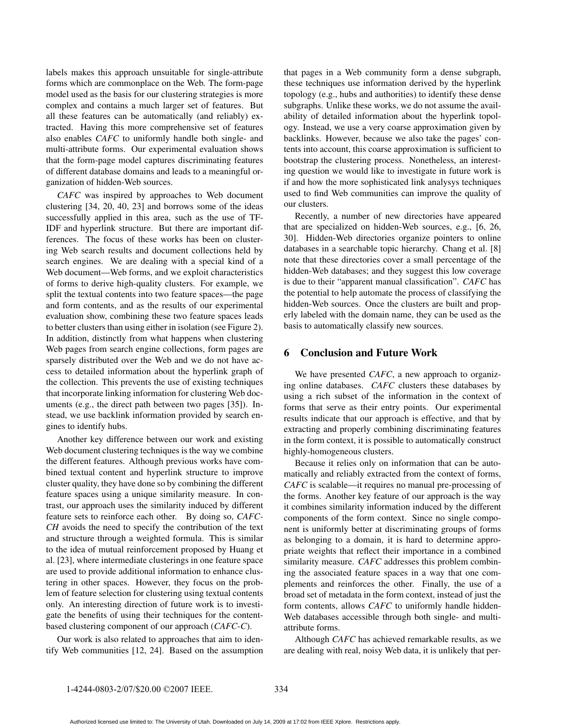labels makes this approach unsuitable for single-attribute forms which are commonplace on the Web. The form-page model used as the basis for our clustering strategies is more complex and contains a much larger set of features. But all these features can be automatically (and reliably) extracted. Having this more comprehensive set of features also enables *CAFC* to uniformly handle both single- and multi-attribute forms. Our experimental evaluation shows that the form-page model captures discriminating features of different database domains and leads to a meaningful organization of hidden-Web sources.

*CAFC* was inspired by approaches to Web document clustering [34, 20, 40, 23] and borrows some of the ideas successfully applied in this area, such as the use of TF-IDF and hyperlink structure. But there are important differences. The focus of these works has been on clustering Web search results and document collections held by search engines. We are dealing with a special kind of a Web document—Web forms, and we exploit characteristics of forms to derive high-quality clusters. For example, we split the textual contents into two feature spaces—the page and form contents, and as the results of our experimental evaluation show, combining these two feature spaces leads to better clusters than using either in isolation (see Figure 2). In addition, distinctly from what happens when clustering Web pages from search engine collections, form pages are sparsely distributed over the Web and we do not have access to detailed information about the hyperlink graph of the collection. This prevents the use of existing techniques that incorporate linking information for clustering Web documents (e.g., the direct path between two pages [35]). Instead, we use backlink information provided by search engines to identify hubs.

Another key difference between our work and existing Web document clustering techniques is the way we combine the different features. Although previous works have combined textual content and hyperlink structure to improve cluster quality, they have done so by combining the different feature spaces using a unique similarity measure. In contrast, our approach uses the similarity induced by different feature sets to reinforce each other. By doing so, *CAFC-CH* avoids the need to specify the contribution of the text and structure through a weighted formula. This is similar to the idea of mutual reinforcement proposed by Huang et al. [23], where intermediate clusterings in one feature space are used to provide additional information to enhance clustering in other spaces. However, they focus on the problem of feature selection for clustering using textual contents only. An interesting direction of future work is to investigate the benefits of using their techniques for the contentbased clustering component of our approach (*CAFC-C*).

Our work is also related to approaches that aim to identify Web communities [12, 24]. Based on the assumption that pages in a Web community form a dense subgraph, these techniques use information derived by the hyperlink topology (e.g., hubs and authorities) to identify these dense subgraphs. Unlike these works, we do not assume the availability of detailed information about the hyperlink topology. Instead, we use a very coarse approximation given by backlinks. However, because we also take the pages' contents into account, this coarse approximation is sufficient to bootstrap the clustering process. Nonetheless, an interesting question we would like to investigate in future work is if and how the more sophisticated link analysys techniques used to find Web communities can improve the quality of our clusters.

Recently, a number of new directories have appeared that are specialized on hidden-Web sources, e.g., [6, 26, 30]. Hidden-Web directories organize pointers to online databases in a searchable topic hierarchy. Chang et al. [8] note that these directories cover a small percentage of the hidden-Web databases; and they suggest this low coverage is due to their "apparent manual classification". *CAFC* has the potential to help automate the process of classifying the hidden-Web sources. Once the clusters are built and properly labeled with the domain name, they can be used as the basis to automatically classify new sources.

# 6 Conclusion and Future Work

We have presented *CAFC*, a new approach to organizing online databases. *CAFC* clusters these databases by using a rich subset of the information in the context of forms that serve as their entry points. Our experimental results indicate that our approach is effective, and that by extracting and properly combining discriminating features in the form context, it is possible to automatically construct highly-homogeneous clusters.

Because it relies only on information that can be automatically and reliably extracted from the context of forms, *CAFC* is scalable—it requires no manual pre-processing of the forms. Another key feature of our approach is the way it combines similarity information induced by the different components of the form context. Since no single component is uniformly better at discriminating groups of forms as belonging to a domain, it is hard to determine appropriate weights that reflect their importance in a combined similarity measure. *CAFC* addresses this problem combining the associated feature spaces in a way that one complements and reinforces the other. Finally, the use of a broad set of metadata in the form context, instead of just the form contents, allows *CAFC* to uniformly handle hidden-Web databases accessible through both single- and multiattribute forms.

Although *CAFC* has achieved remarkable results, as we are dealing with real, noisy Web data, it is unlikely that per-